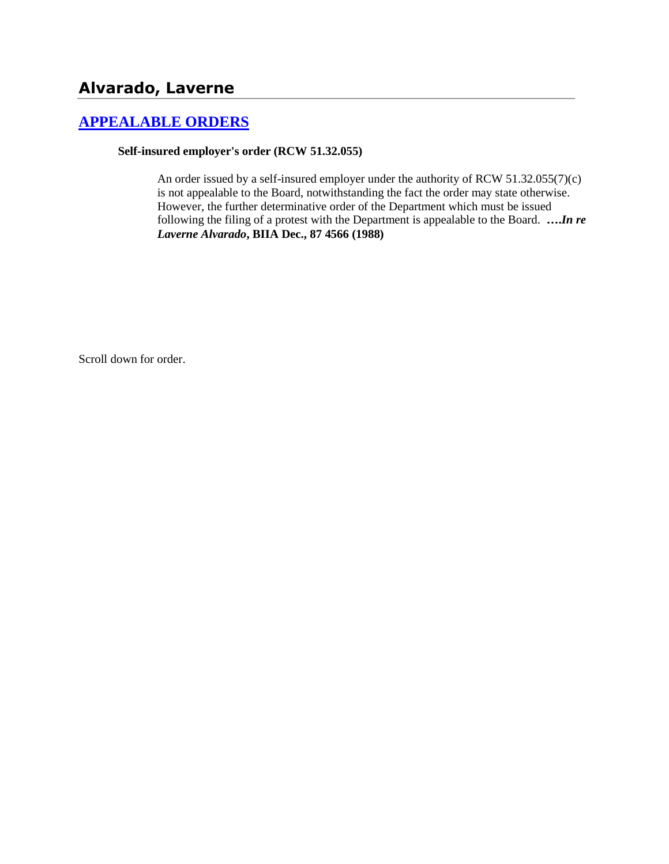# **Alvarado, Laverne**

## **[APPEALABLE ORDERS](http://www.biia.wa.gov/SDSubjectIndex.html#APPEALABLE_ORDERS)**

### **Self-insured employer's order (RCW 51.32.055)**

An order issued by a self-insured employer under the authority of RCW 51.32.055(7)(c) is not appealable to the Board, notwithstanding the fact the order may state otherwise. However, the further determinative order of the Department which must be issued following the filing of a protest with the Department is appealable to the Board. **….***In re Laverne Alvarado***, BIIA Dec., 87 4566 (1988)**

Scroll down for order.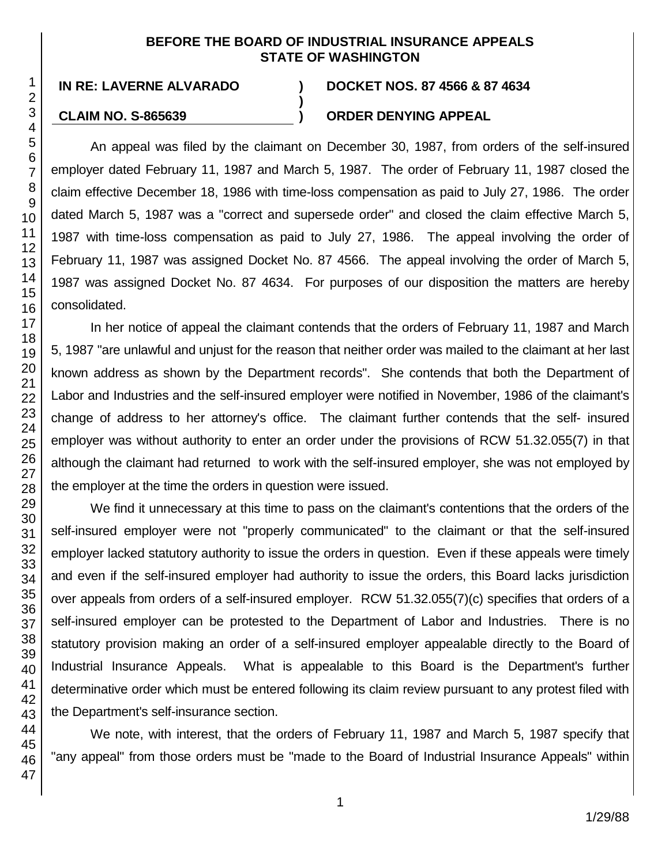### **BEFORE THE BOARD OF INDUSTRIAL INSURANCE APPEALS STATE OF WASHINGTON**

**)**

### **IN RE: LAVERNE ALVARADO ) DOCKET NOS. 87 4566 & 87 4634**

### **CLAIM NO. S-865639 ) ORDER DENYING APPEAL**

An appeal was filed by the claimant on December 30, 1987, from orders of the self-insured employer dated February 11, 1987 and March 5, 1987. The order of February 11, 1987 closed the claim effective December 18, 1986 with time-loss compensation as paid to July 27, 1986. The order dated March 5, 1987 was a "correct and supersede order" and closed the claim effective March 5, 1987 with time-loss compensation as paid to July 27, 1986. The appeal involving the order of February 11, 1987 was assigned Docket No. 87 4566. The appeal involving the order of March 5, 1987 was assigned Docket No. 87 4634. For purposes of our disposition the matters are hereby consolidated.

In her notice of appeal the claimant contends that the orders of February 11, 1987 and March 5, 1987 "are unlawful and unjust for the reason that neither order was mailed to the claimant at her last known address as shown by the Department records". She contends that both the Department of Labor and Industries and the self-insured employer were notified in November, 1986 of the claimant's change of address to her attorney's office. The claimant further contends that the self- insured employer was without authority to enter an order under the provisions of RCW 51.32.055(7) in that although the claimant had returned to work with the self-insured employer, she was not employed by the employer at the time the orders in question were issued.

We find it unnecessary at this time to pass on the claimant's contentions that the orders of the self-insured employer were not "properly communicated" to the claimant or that the self-insured employer lacked statutory authority to issue the orders in question. Even if these appeals were timely and even if the self-insured employer had authority to issue the orders, this Board lacks jurisdiction over appeals from orders of a self-insured employer. RCW 51.32.055(7)(c) specifies that orders of a self-insured employer can be protested to the Department of Labor and Industries. There is no statutory provision making an order of a self-insured employer appealable directly to the Board of Industrial Insurance Appeals. What is appealable to this Board is the Department's further determinative order which must be entered following its claim review pursuant to any protest filed with the Department's self-insurance section.

We note, with interest, that the orders of February 11, 1987 and March 5, 1987 specify that "any appeal" from those orders must be "made to the Board of Industrial Insurance Appeals" within